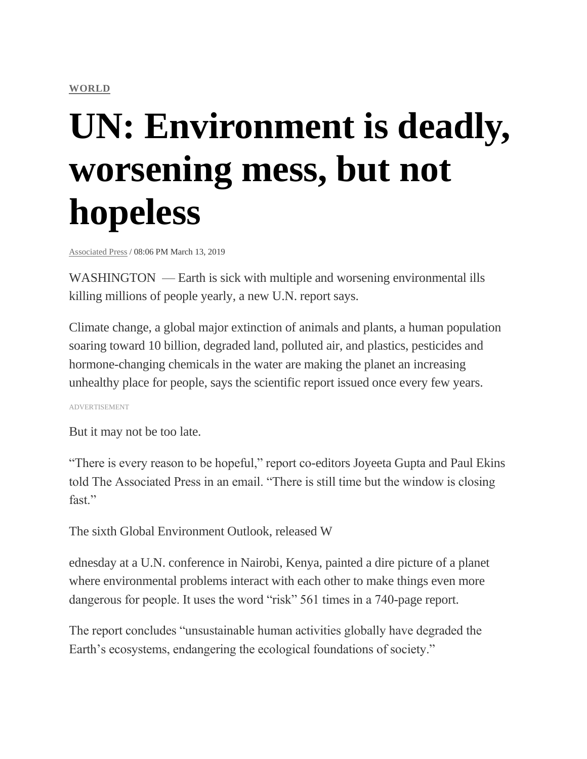#### **[WORLD](https://newsinfo.inquirer.net/category/latest-stories/world-latest-stories)**

# **UN: Environment is deadly, worsening mess, but not hopeless**

[Associated](https://newsinfo.inquirer.net/source/associated-press) Press / 08:06 PM March 13, 2019

WASHINGTON — Earth is sick with multiple and worsening environmental ills killing millions of people yearly, a new U.N. report says.

Climate change, a global major extinction of animals and plants, a human population soaring toward 10 billion, degraded land, polluted air, and plastics, pesticides and hormone-changing chemicals in the water are making the planet an increasing unhealthy place for people, says the scientific report issued once every few years.

ADVERTISEMENT

But it may not be too late.

"There is every reason to be hopeful," report co-editors Joyeeta Gupta and Paul Ekins told The Associated Press in an email. "There is still time but the window is closing fast."

The sixth Global Environment Outlook, released W

ednesday at a U.N. conference in Nairobi, Kenya, painted a dire picture of a planet where environmental problems interact with each other to make things even more dangerous for people. It uses the word "risk" 561 times in a 740-page report.

The report concludes "unsustainable human activities globally have degraded the Earth's ecosystems, endangering the ecological foundations of society."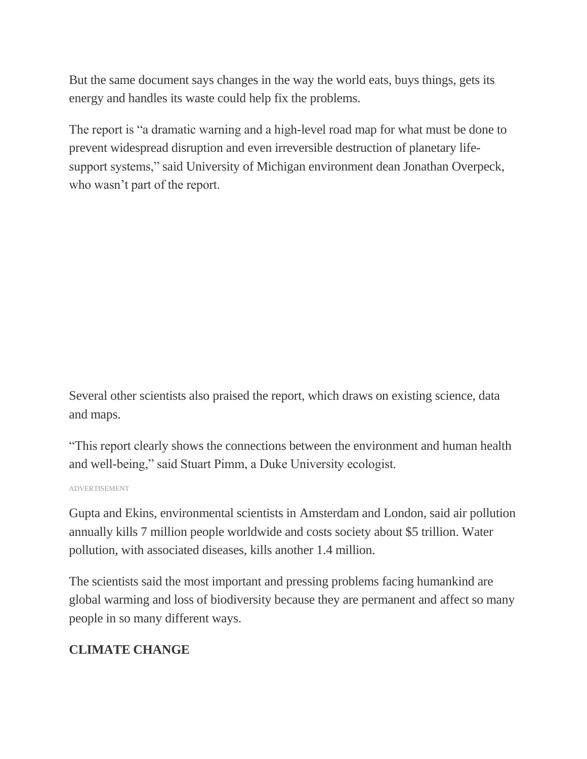But the same document says changes in the way the world eats, buys things, gets its energy and handles its waste could help fix the problems.

The report is "a dramatic warning and a high-level road map for what must be done to prevent widespread disruption and even irreversible destruction of planetary lifesupport systems," said University of Michigan environment dean Jonathan Overpeck, who wasn't part of the report.

Several other scientists also praised the report, which draws on existing science, data and maps.

"This report clearly shows the connections between the environment and human health and well-being," said Stuart Pimm, a Duke University ecologist.

ADVERTISEMENT

Gupta and Ekins, environmental scientists in Amsterdam and London, said air pollution annually kills 7 million people worldwide and costs society about \$5 trillion. Water pollution, with associated diseases, kills another 1.4 million.

The scientists said the most important and pressing problems facing humankind are global warming and loss of biodiversity because they are permanent and affect so many people in so many different ways.

#### **CLIMATE CHANGE**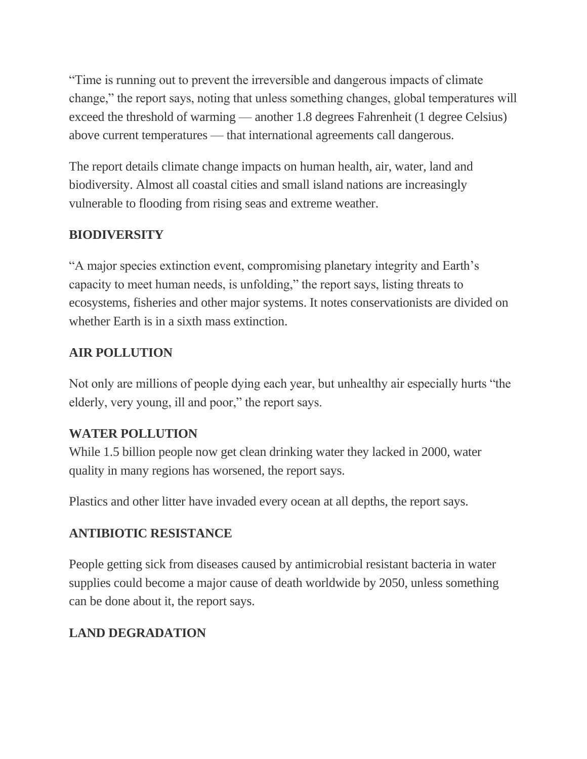"Time is running out to prevent the irreversible and dangerous impacts of climate change," the report says, noting that unless something changes, global temperatures will exceed the threshold of warming — another 1.8 degrees Fahrenheit (1 degree Celsius) above current temperatures — that international agreements call dangerous.

The report details climate change impacts on human health, air, water, land and biodiversity. Almost all coastal cities and small island nations are increasingly vulnerable to flooding from rising seas and extreme weather.

## **BIODIVERSITY**

"A major species extinction event, compromising planetary integrity and Earth"s capacity to meet human needs, is unfolding," the report says, listing threats to ecosystems, fisheries and other major systems. It notes conservationists are divided on whether Earth is in a sixth mass extinction.

#### **AIR POLLUTION**

Not only are millions of people dying each year, but unhealthy air especially hurts "the elderly, very young, ill and poor," the report says.

#### **WATER POLLUTION**

While 1.5 billion people now get clean drinking water they lacked in 2000, water quality in many regions has worsened, the report says.

Plastics and other litter have invaded every ocean at all depths, the report says.

#### **ANTIBIOTIC RESISTANCE**

People getting sick from diseases caused by antimicrobial resistant bacteria in water supplies could become a major cause of death worldwide by 2050, unless something can be done about it, the report says.

## **LAND DEGRADATION**